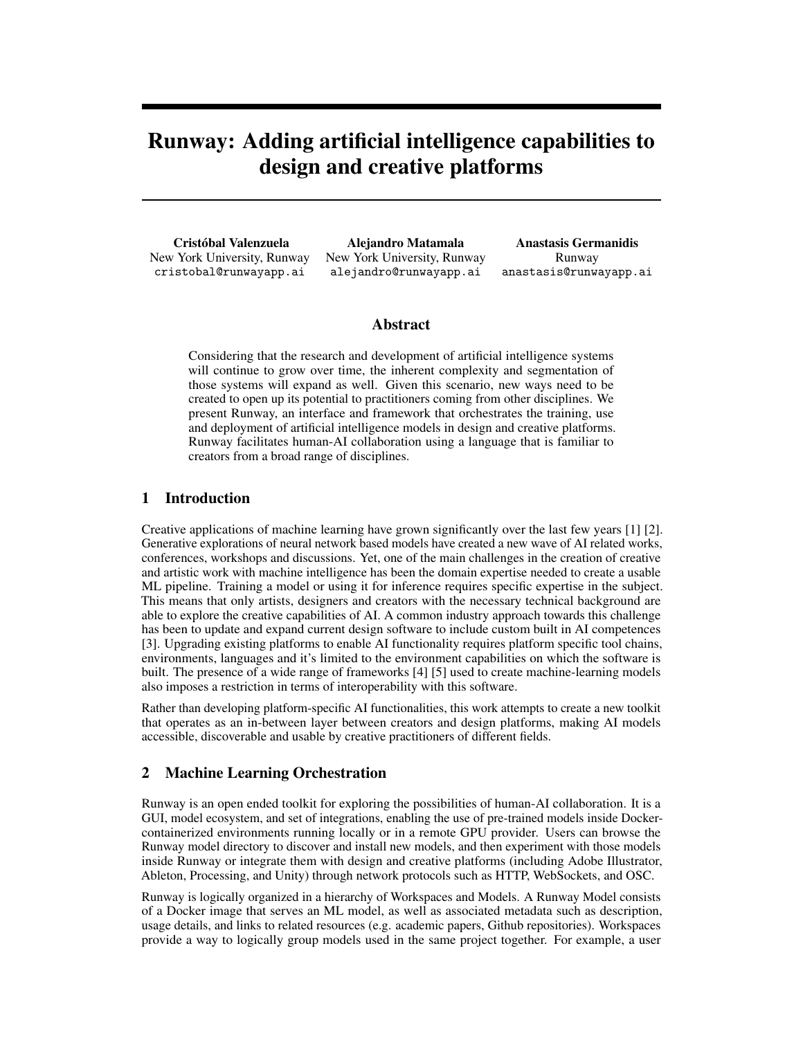# Runway: Adding artificial intelligence capabilities to design and creative platforms

Cristóbal Valenzuela New York University, Runway cristobal@runwayapp.ai

Alejandro Matamala New York University, Runway alejandro@runwayapp.ai

Anastasis Germanidis Runway anastasis@runwayapp.ai

#### Abstract

Considering that the research and development of artificial intelligence systems will continue to grow over time, the inherent complexity and segmentation of those systems will expand as well. Given this scenario, new ways need to be created to open up its potential to practitioners coming from other disciplines. We present Runway, an interface and framework that orchestrates the training, use and deployment of artificial intelligence models in design and creative platforms. Runway facilitates human-AI collaboration using a language that is familiar to creators from a broad range of disciplines.

### 1 Introduction

Creative applications of machine learning have grown significantly over the last few years [1] [2]. Generative explorations of neural network based models have created a new wave of AI related works, conferences, workshops and discussions. Yet, one of the main challenges in the creation of creative and artistic work with machine intelligence has been the domain expertise needed to create a usable ML pipeline. Training a model or using it for inference requires specific expertise in the subject. This means that only artists, designers and creators with the necessary technical background are able to explore the creative capabilities of AI. A common industry approach towards this challenge has been to update and expand current design software to include custom built in AI competences [3]. Upgrading existing platforms to enable AI functionality requires platform specific tool chains, environments, languages and it's limited to the environment capabilities on which the software is built. The presence of a wide range of frameworks [4] [5] used to create machine-learning models also imposes a restriction in terms of interoperability with this software.

Rather than developing platform-specific AI functionalities, this work attempts to create a new toolkit that operates as an in-between layer between creators and design platforms, making AI models accessible, discoverable and usable by creative practitioners of different fields.

## 2 Machine Learning Orchestration

Runway is an open ended toolkit for exploring the possibilities of human-AI collaboration. It is a GUI, model ecosystem, and set of integrations, enabling the use of pre-trained models inside Dockercontainerized environments running locally or in a remote GPU provider. Users can browse the Runway model directory to discover and install new models, and then experiment with those models inside Runway or integrate them with design and creative platforms (including Adobe Illustrator, Ableton, Processing, and Unity) through network protocols such as HTTP, WebSockets, and OSC.

Runway is logically organized in a hierarchy of Workspaces and Models. A Runway Model consists of a Docker image that serves an ML model, as well as associated metadata such as description, usage details, and links to related resources (e.g. academic papers, Github repositories). Workspaces provide a way to logically group models used in the same project together. For example, a user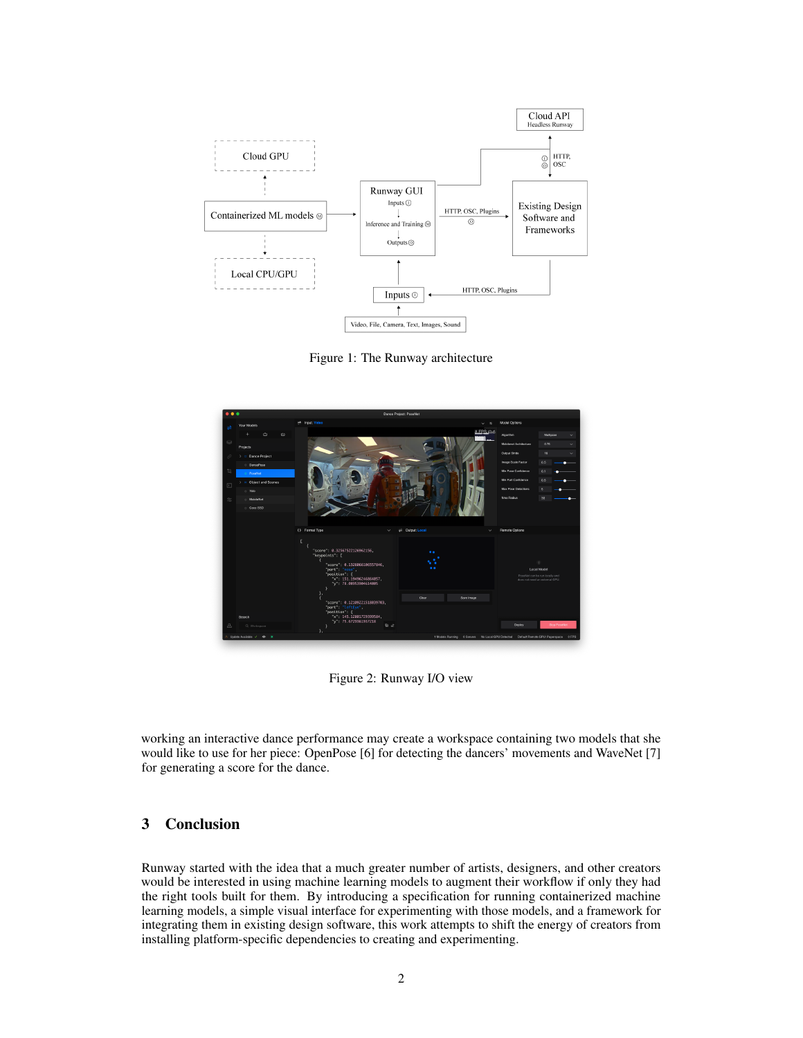

Figure 1: The Runway architecture



Figure 2: Runway I/O view

working an interactive dance performance may create a workspace containing two models that she would like to use for her piece: OpenPose [6] for detecting the dancers' movements and WaveNet [7] for generating a score for the dance.

# 3 Conclusion

Runway started with the idea that a much greater number of artists, designers, and other creators would be interested in using machine learning models to augment their workflow if only they had the right tools built for them. By introducing a specification for running containerized machine learning models, a simple visual interface for experimenting with those models, and a framework for integrating them in existing design software, this work attempts to shift the energy of creators from installing platform-specific dependencies to creating and experimenting.